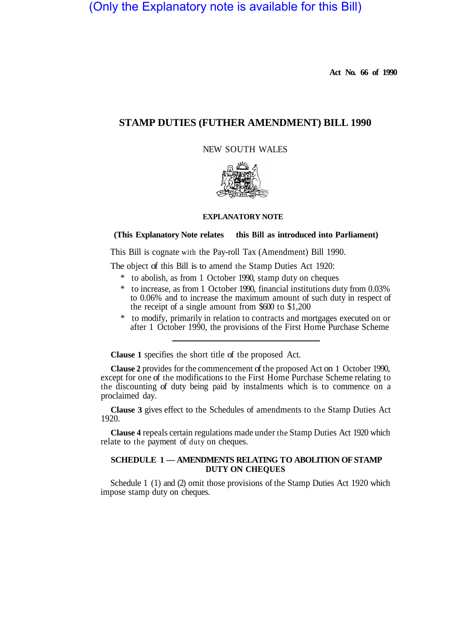(Only the Explanatory note is available for this Bill)

**Act No. 66 of 1990** 

# **STAMP DUTIES (FUTHER AMENDMENT) BILL 1990**

NEW SOUTH WALES



#### **EXPLANATORY NOTE**

### (This Explanatory Note relates this Bill as introduced into Parliament)

This Bill is cognate with the Pay-roll Tax (Amendment) Bill 1990.

The object of this Bill is to amend the Stamp Duties Act 1920:

- \* to abolish, as from 1 October 1990, stamp duty on cheques
- \* to increase, as from 1 October 1990, financial institutions duty from 0.03% to 0.06% and to increase the maximum amount of such duty in respect of the receipt of a single amount from \$600 to \$1,200
- \* to modify, primarily in relation to contracts and mortgages executed on or after 1 October 1990, the provisions of the First Home Purchase Scheme

**Clause 1** specifies the short title of the proposed Act.

**Clause 2** provides for the commencement of the proposed Act on 1 October 1990, except for one of the modifications to the First Home Purchase Scheme relating to the discounting of duty being paid by instalments which is to commence on a proclaimed day.

**Clause 3** gives effect to the Schedules of amendments to the Stamp Duties Act 1920.

**Clause 4** repeals certain regulations made under the Stamp Duties Act 1920 which relate to the payment of duty on cheques.

#### **SCHEDULE 1 — AMENDMENTS RELATING TO ABOLITION OF STAMP DUTY ON CHEQUES**

Schedule 1 (1) and (2) omit those provisions of the Stamp Duties Act 1920 which impose stamp duty on cheques.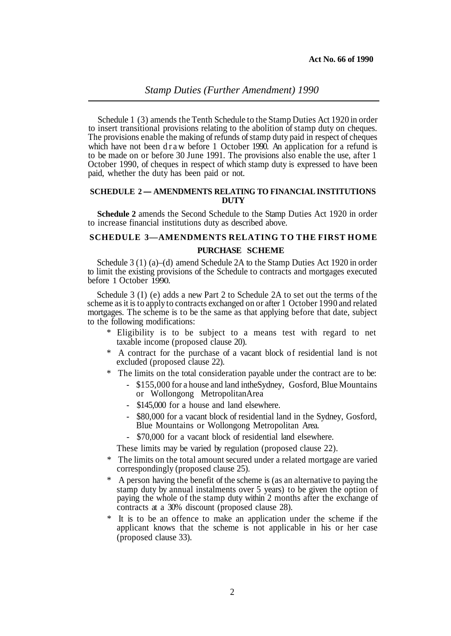Schedule 1 (3) amends the Tenth Schedule to the Stamp Duties Act 1920 in order to insert transitional provisions relating to the abolition of stamp duty on cheques. The provisions enable the making of refunds of stamp duty paid in respect of cheques which have not been draw before 1 October 1990. An application for a refund is to be made on or before 30 June 1991. The provisions also enable the use, after 1 October 1990, of cheques in respect of which stamp duty is expressed to have been paid, whether the duty has been paid or not.

#### **SCHEDULE 2 — AMENDMENTS RELATING TO FINANCIAL INSTITUTIONS DUTY**

**Schedule 2** amends the Second Schedule to the Stamp Duties Act 1920 in order to increase financial institutions duty as described above.

## **PURCHASE SCHEME SCHEDULE 3—AMENDMENTS RELATING TO THE FIRST HOME**

Schedule 3 (1) (a)–(d) amend Schedule 2A to the Stamp Duties Act 1920 in order to limit the existing provisions of the Schedule to contracts and mortgages executed before 1 October 1990.

Schedule 3 (I) (e) adds a new Part 2 to Schedule 2A to set out the terms of the scheme as it is to apply to contracts exchanged on or after 1 October 1990 and related mortgages. The scheme is to be the same as that applying before that date, subject to the following modifications:

- \* Eligibility is to be subject to a means test with regard to net taxable income (proposed clause 20).
- \* A contract for the purchase of a vacant block of residential land is not excluded (proposed clause 22).
- The limits on the total consideration payable under the contract are to be:
	- \$155,000 for a house and land intheSydney, Gosford, Blue Mountains or Wollongong MetropolitanArea
	- \$145,000 for a house and land elsewhere.
	- \$80,000 for a vacant block of residential land in the Sydney, Gosford, Blue Mountains or Wollongong Metropolitan Area.
	- \$70,000 for a vacant block of residential land elsewhere.
	- These limits may be varied by regulation (proposed clause 22).
- \* The limits on the total amount secured under a related mortgage are varied correspondingly (proposed clause 25).
- A person having the benefit of the scheme is (as an alternative to paying the stamp duty by annual instalments over 5 years) to be given the option of paying the whole of the stamp duty within 2 months after the exchange of contracts at a 30% discount (proposed clause 28).
- It is to be an offence to make an application under the scheme if the applicant knows that the scheme is not applicable in his or her case (proposed clause 33).